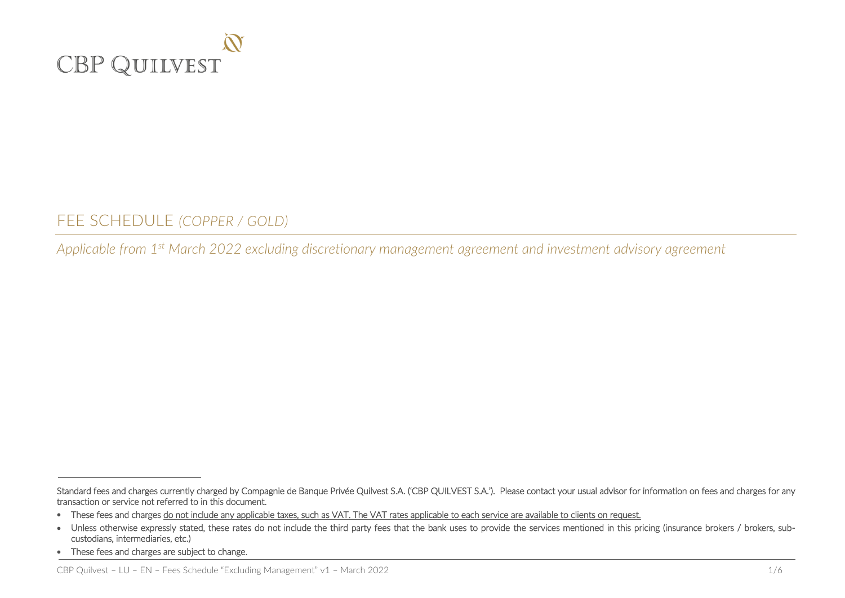

FEE SCHEDULE *(COPPER / GOLD)*

*Applicable from 1 st March 2022 excluding discretionary management agreement and investment advisory agreement*

Standard fees and charges currently charged by Compagnie de Banque Privée Quilvest S.A. ('CBP QUILVEST S.A.'). Please contact your usual advisor for information on fees and charges for any transaction or service not referred to in this document.

<sup>•</sup> These fees and charges do not include any applicable taxes, such as VAT. The VAT rates applicable to each service are available to clients on request.

<sup>•</sup> Unless otherwise expressly stated, these rates do not include the third party fees that the bank uses to provide the services mentioned in this pricing (insurance brokers / brokers, subcustodians, intermediaries, etc.)

<sup>•</sup> These fees and charges are subject to change.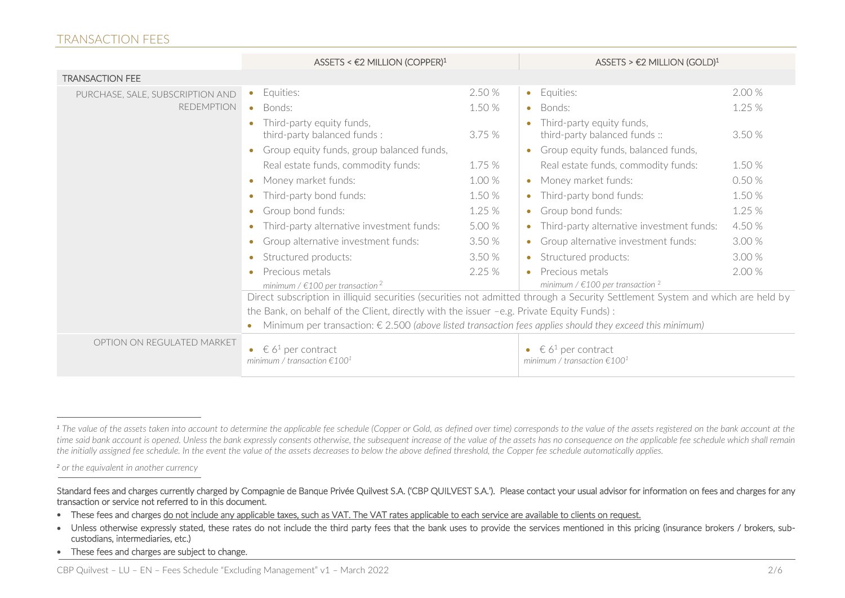#### TRANSACTION FEES

|                                  | ASSETS < $E2$ MILLION (COPPER) <sup>1</sup>                                                                                                                                                                                |        | ASSETS > $\epsilon$ 2 MILLION (GOLD) <sup>1</sup>                                  |        |
|----------------------------------|----------------------------------------------------------------------------------------------------------------------------------------------------------------------------------------------------------------------------|--------|------------------------------------------------------------------------------------|--------|
| <b>TRANSACTION FEE</b>           |                                                                                                                                                                                                                            |        |                                                                                    |        |
| PURCHASE, SALE, SUBSCRIPTION AND | Equities:<br>$\bullet$                                                                                                                                                                                                     | 2.50 % | • Equities:                                                                        | 2.00 % |
| <b>REDEMPTION</b>                | Bonds:<br>$\bullet$                                                                                                                                                                                                        | 1.50 % | • Bonds:                                                                           | 1.25%  |
|                                  | Third-party equity funds,<br>third-party balanced funds:                                                                                                                                                                   | 3.75%  | Third-party equity funds,<br>third-party balanced funds ::                         | 3.50 % |
|                                  | Group equity funds, group balanced funds,                                                                                                                                                                                  |        | • Group equity funds, balanced funds,                                              |        |
|                                  | Real estate funds, commodity funds:                                                                                                                                                                                        | 1.75 % | Real estate funds, commodity funds:                                                | 1.50 % |
|                                  | Money market funds:<br>$\bullet$                                                                                                                                                                                           | 1.00%  | • Money market funds:                                                              | 0.50%  |
|                                  | Third-party bond funds:<br>$\bullet$                                                                                                                                                                                       | 1.50 % | • Third-party bond funds:                                                          | 1.50 % |
|                                  | Group bond funds:<br>$\bullet$                                                                                                                                                                                             | 1.25 % | • Group bond funds:                                                                | 1.25 % |
|                                  | Third-party alternative investment funds:<br>$\bullet$                                                                                                                                                                     | 5.00 % | • Third-party alternative investment funds:                                        | 4.50 % |
|                                  | Group alternative investment funds:<br>$\bullet$                                                                                                                                                                           | 3.50 % | • Group alternative investment funds:                                              | 3.00 % |
|                                  | Structured products:<br>$\bullet$                                                                                                                                                                                          | 3.50 % | • Structured products:                                                             | 3.00 % |
|                                  | Precious metals<br>$\bullet$<br>minimum / $\in$ 100 per transaction <sup>2</sup>                                                                                                                                           | 2.25%  | • Precious metals<br>minimum / $\in$ 100 per transaction <sup>2</sup>              | 2.00 % |
|                                  | Direct subscription in illiquid securities (securities not admitted through a Security Settlement System and which are held by<br>the Bank, on behalf of the Client, directly with the issuer -e.g. Private Equity Funds): |        |                                                                                    |        |
|                                  |                                                                                                                                                                                                                            |        |                                                                                    |        |
|                                  | Minimum per transaction: $\epsilon$ 2.500 (above listed transaction fees applies should they exceed this minimum)<br>$\bullet$                                                                                             |        |                                                                                    |        |
| OPTION ON REGULATED MARKET       | € 6 <sup>1</sup> per contract<br>minimum / transaction $\epsilon$ 100 <sup>1</sup>                                                                                                                                         |        | € 6 <sup>1</sup> per contract<br>minimum / transaction $\epsilon$ 100 <sup>1</sup> |        |

*<sup>2</sup> or the equivalent in another currency*

 $\overline{a}$ 

• These fees and charges are subject to change.

<sup>&</sup>lt;sup>1</sup> The value of the assets taken into account to determine the applicable fee schedule (Copper or Gold, as defined over time) corresponds to the value of the assets registered on the bank account at the time said bank account is opened. Unless the bank expressly consents otherwise, the subsequent increase of the value of the assets has no consequence on the applicable fee schedule which shall remain *the initially assigned fee schedule. In the event the value of the assets decreases to below the above defined threshold, the Copper fee schedule automatically applies.*

Standard fees and charges currently charged by Compagnie de Banque Privée Quilvest S.A. ('CBP QUILVEST S.A.'). Please contact your usual advisor for information on fees and charges for any transaction or service not referred to in this document.

<sup>•</sup> These fees and charges do not include any applicable taxes, such as VAT. The VAT rates applicable to each service are available to clients on request.

<sup>•</sup> Unless otherwise expressly stated, these rates do not include the third party fees that the bank uses to provide the services mentioned in this pricing (insurance brokers / brokers, subcustodians, intermediaries, etc.)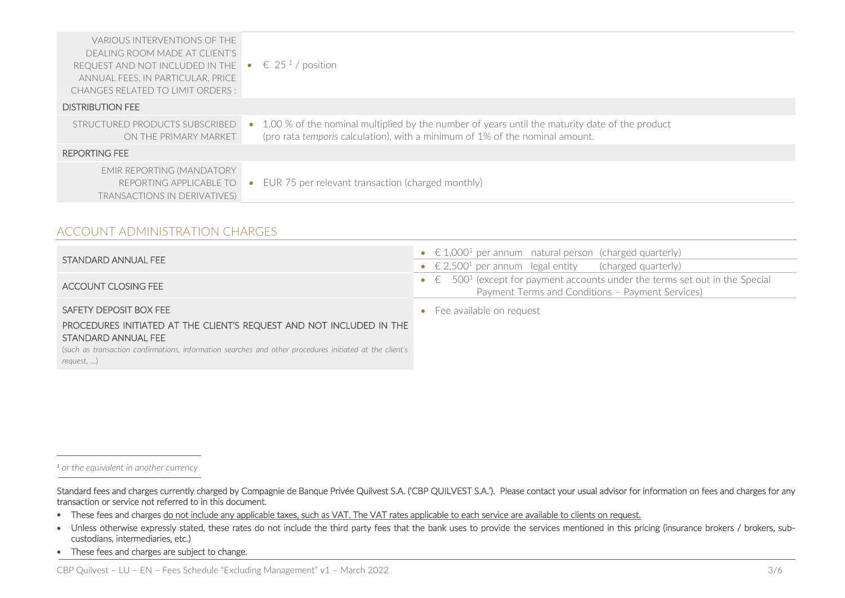| VARIOUS INTERVENTIONS OF THE<br>DEALING ROOM MADE AT CLIENT'S<br>REQUEST AND NOT INCLUDED IN THE<br>ANNUAL FEES, IN PARTICULAR, PRICE<br><b>CHANGES RELATED TO LIMIT ORDERS:</b> | $\epsilon$ 25 <sup>1</sup> /position                                                                                                                                           |
|----------------------------------------------------------------------------------------------------------------------------------------------------------------------------------|--------------------------------------------------------------------------------------------------------------------------------------------------------------------------------|
| <b>DISTRIBUTION FEE</b>                                                                                                                                                          |                                                                                                                                                                                |
| STRUCTURED PRODUCTS SUBSCRIBED<br>ON THE PRIMARY MARKET                                                                                                                          | 1.00 % of the nominal multiplied by the number of years until the maturity date of the product<br>(pro rata temporis calculation), with a minimum of 1% of the nominal amount. |
| REPORTING FEE                                                                                                                                                                    |                                                                                                                                                                                |
| <b>EMIR REPORTING (MANDATORY</b><br>REPORTING APPLICABLE TO<br><b>TRANSACTIONS IN DERIVATIVES)</b>                                                                               | EUR 75 per relevant transaction (charged monthly)                                                                                                                              |

### ACCOUNT ADMINISTRATION CHARGES

|                                                                      | • $\in$ 1,000 <sup>1</sup> per annum natural person (charged quarterly)                                                                               |
|----------------------------------------------------------------------|-------------------------------------------------------------------------------------------------------------------------------------------------------|
| STANDARD ANNUAL FEE                                                  | • $\in$ 2,500 <sup>1</sup> per annum legal entity (charged quarterly)                                                                                 |
| ACCOUNT CLOSING FEE                                                  | • $\epsilon$ 500 <sup>1</sup> (except for payment accounts under the terms set out in the Special<br>Payment Terms and Conditions - Payment Services) |
| SAFETY DEPOSIT BOX FEE                                               | • Fee available on request                                                                                                                            |
| PROCEDURES INITIATED AT THE CLIENT'S REQUEST AND NOT INCLUDED IN THE |                                                                                                                                                       |
| STANDARD ANNUAL FEE                                                  |                                                                                                                                                       |

(*such as transaction confirmations, information searches and other procedures initiated at the client's request, …*)

*<sup>1</sup> or the equivalent in another currency*

-

Standard fees and charges currently charged by Compagnie de Banque Privée Quilvest S.A. ('CBP QUILVEST S.A.'). Please contact your usual advisor for information on fees and charges for any transaction or service not referred to in this document.

- These fees and charges do not include any applicable taxes, such as VAT. The VAT rates applicable to each service are available to clients on request.
- Unless otherwise expressly stated, these rates do not include the third party fees that the bank uses to provide the services mentioned in this pricing (insurance brokers / brokers, subcustodians, intermediaries, etc.)
- These fees and charges are subject to change.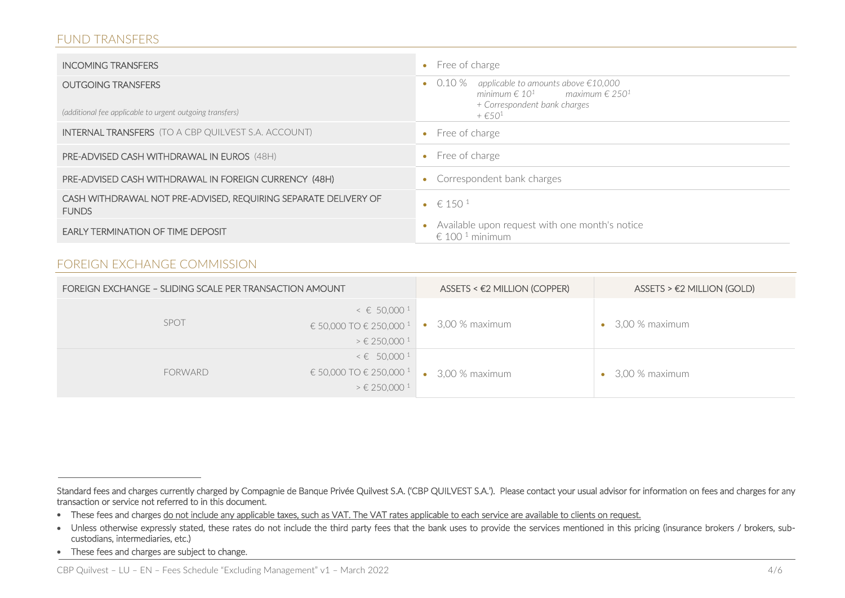## FUND TRANSFERS

| <b>INCOMING TRANSFERS</b>                                                       | Free of charge<br>$\bullet$                                                                                                       |
|---------------------------------------------------------------------------------|-----------------------------------------------------------------------------------------------------------------------------------|
| <b>OUTGOING TRANSFERS</b>                                                       | applicable to amounts above €10,000<br>$\bullet$ 0.10 %<br>minimum $\epsilon$ 10 <sup>1</sup> maximum $\epsilon$ 250 <sup>1</sup> |
| (additional fee applicable to urgent outgoing transfers)                        | + Correspondent bank charges<br>$+$ $\in$ 50 <sup>1</sup>                                                                         |
| <b>INTERNAL TRANSFERS</b> (TO A CBP QUILVEST S.A. ACCOUNT)                      | Free of charge<br>$\bullet$                                                                                                       |
| <b>PRE-ADVISED CASH WITHDRAWAL IN EUROS (48H)</b>                               | Free of charge<br>$\bullet$                                                                                                       |
| PRE-ADVISED CASH WITHDRAWAL IN FOREIGN CURRENCY (48H)                           | Correspondent bank charges                                                                                                        |
| CASH WITHDRAWAL NOT PRE-ADVISED, REQUIRING SEPARATE DELIVERY OF<br><b>FUNDS</b> | • $\in 150^{\circ}$                                                                                                               |
| <b>EARLY TERMINATION OF TIME DEPOSIT</b>                                        | Available upon request with one month's notice<br>€ 100 <sup>1</sup> minimum                                                      |

# FOREIGN EXCHANGE COMMISSION

| FOREIGN EXCHANGE - SLIDING SCALE PER TRANSACTION AMOUNT |                                                                                                                   | $ASSETS < E2$ MILLION (COPPER) | $ASSETS > E2$ MILLION (GOLD) |
|---------------------------------------------------------|-------------------------------------------------------------------------------------------------------------------|--------------------------------|------------------------------|
| <b>SPOT</b>                                             | $\leq$ 6 50,000 <sup>1</sup><br>€ 50,000 TO € 250,000 <sup>1</sup><br>$\geq \epsilon$ 250,000 <sup>1</sup>        | 3,00 % maximum<br>$\bullet$    | 3,00 % maximum               |
| FORWARD                                                 | $\leq \epsilon$ 50,000 <sup>1</sup><br>€ 50,000 TO € 250,000 <sup>1</sup><br>$\geq \epsilon$ 250,000 <sup>1</sup> | 3,00 % maximum<br>$\bullet$    | 3,00 % maximum               |

Standard fees and charges currently charged by Compagnie de Banque Privée Quilvest S.A. ('CBP QUILVEST S.A.'). Please contact your usual advisor for information on fees and charges for any transaction or service not referred to in this document.

<sup>•</sup> These fees and charges do not include any applicable taxes, such as VAT. The VAT rates applicable to each service are available to clients on request.

<sup>•</sup> Unless otherwise expressly stated, these rates do not include the third party fees that the bank uses to provide the services mentioned in this pricing (insurance brokers / brokers, subcustodians, intermediaries, etc.)

<sup>•</sup> These fees and charges are subject to change.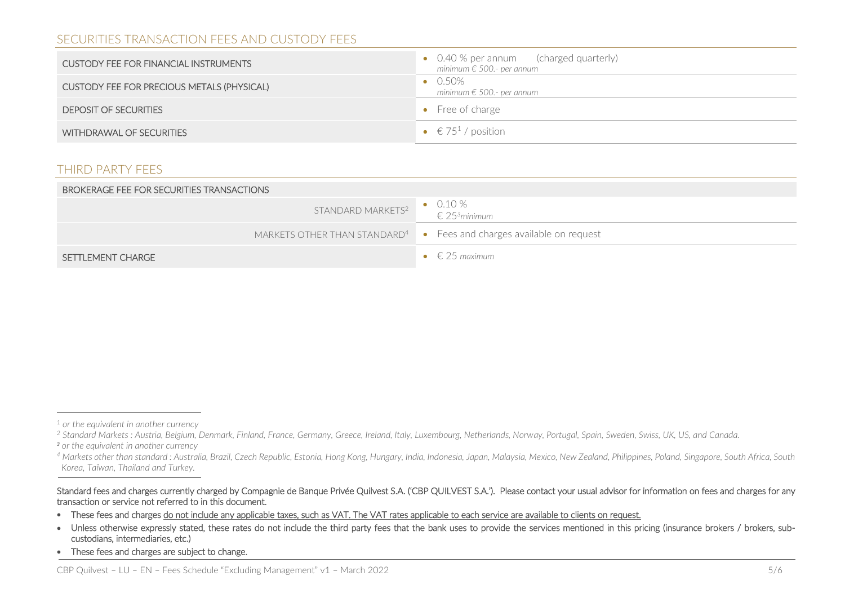# SECURITIES TRANSACTION FEES AND CUSTODY FEES

| <b>CUSTODY FEE FOR FINANCIAL INSTRUMENTS</b> | • 0.40 % per annum (charged quarterly)<br>minimum € 500.- per annum |
|----------------------------------------------|---------------------------------------------------------------------|
| CUSTODY FEE FOR PRECIOUS METALS (PHYSICAL)   | $\bullet$ 0.50%<br>minimum € 500.- per annum                        |
| <b>DEPOSIT OF SECURITIES</b>                 | $\bullet$ Free of charge                                            |
| WITHDRAWAL OF SECURITIES                     | • $\in$ 75 <sup>1</sup> / position                                  |

# THIRD PARTY FEES

| BROKERAGE FEE FOR SECURITIES TRANSACTIONS |                                                                                                                                                                                                                                                                                                                                                                                                                                       |  |
|-------------------------------------------|---------------------------------------------------------------------------------------------------------------------------------------------------------------------------------------------------------------------------------------------------------------------------------------------------------------------------------------------------------------------------------------------------------------------------------------|--|
| STANDARD MARKETS <sup>2</sup>             | $\begin{array}{cc}\n\bullet & 0.10 % & \bullet & 0.10 % & \bullet & 0.10 % & \bullet & 0.10 % & \bullet & 0.10 % & \bullet & 0.10 % & \bullet & 0.10 % & \bullet & 0.10 % & \bullet & 0.10 % & \bullet & 0.10 % & \bullet & 0.10 % & \bullet & 0.10 % & \bullet & 0.10 % & \bullet & 0.10 % & \bullet & 0.10 % & \bullet & 0.10 % & \bullet & 0.10 % & \bullet & 0.10 % & \bullet & 0.10 % & \bullet & 0.10 % & \bullet & 0.10 % & \$ |  |
|                                           | MARKETS OTHER THAN STANDARD <sup>4</sup> $\bullet$ Fees and charges available on request                                                                                                                                                                                                                                                                                                                                              |  |
| SETTLEMENT CHARGE                         | $\bullet \in$ 25 maximum                                                                                                                                                                                                                                                                                                                                                                                                              |  |

-

*<sup>1</sup> or the equivalent in another currency*

*<sup>2</sup> Standard Markets : Austria, Belgium, Denmark, Finland, France, Germany, Greece, Ireland, Italy, Luxembourg, Netherlands, Norway, Portugal, Spain, Sweden, Swiss, UK, US, and Canada. <sup>3</sup> or the equivalent in another currency*

*<sup>4</sup> Markets other than standard : Australia, Brazil, Czech Republic, Estonia, Hong Kong, Hungary, India, Indonesia, Japan, Malaysia, Mexico, New Zealand, Philippines, Poland, Singapore, South Africa, South Korea, Taïwan, Thailand and Turkey.*

Standard fees and charges currently charged by Compagnie de Banque Privée Quilvest S.A. ('CBP QUILVEST S.A.'). Please contact your usual advisor for information on fees and charges for any transaction or service not referred to in this document.

<sup>•</sup> These fees and charges do not include any applicable taxes, such as VAT. The VAT rates applicable to each service are available to clients on request.

<sup>•</sup> Unless otherwise expressly stated, these rates do not include the third party fees that the bank uses to provide the services mentioned in this pricing (insurance brokers / brokers, subcustodians, intermediaries, etc.)

<sup>•</sup> These fees and charges are subject to change.